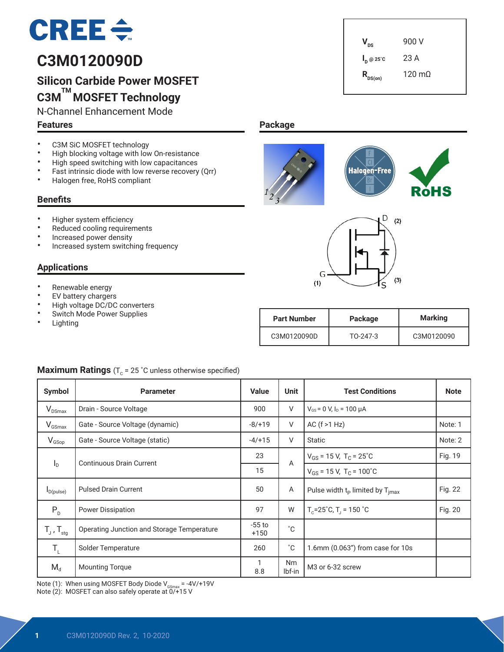

# **C3M0120090D**

# **Silicon Carbide Power MOSFET C3M TM MOSFET Technology**

• High blocking voltage with low On-resistance<br>• High speed switching with low canacitances • High speed switching with low capacitances<br>• Fast intrinsic diade with low reverse resevery • Fast intrinsic diode with low reverse recovery (Qrr)<br>• Halogen free BoHS compliant

N-Channel Enhancement Mode

#### **Features**

**Benefits**

 $V_{\text{ns}}$  900 V **I <sup>D</sup> @ 25˚C** 23 A  $R_{DS(on)}$  120 mΩ

**Package**





|  |   |     | R |
|--|---|-----|---|
|  | D | (2) |   |



| <b>Part Number</b> | Package  | <b>Marking</b> |
|--------------------|----------|----------------|
| C3M0120090D        | TO-247-3 | C3M0120090     |

#### • Higher system efficiency

• C3M SiC MOSFET technology<br>• High blocking voltage with low

• Halogen free, RoHS compliant

- Reduced cooling requirements
- Increased power density
- Increased system switching frequency

#### **Applications**

- Renewable energy
- **EV** battery chargers
- High voltage DC/DC converters<br>• Switch Mode Power Supplies
- Switch Mode Power Supplies
- Lighting

### **Maximum Ratings**  $(T_c = 25 \degree C \text{ unless otherwise specified})$

| Symbol                     | <b>Parameter</b>                           | <b>Value</b>       | Unit                | <b>Test Conditions</b>                              | <b>Note</b> |
|----------------------------|--------------------------------------------|--------------------|---------------------|-----------------------------------------------------|-------------|
| $V_{DSmax}$                | Drain - Source Voltage                     | 900                | V                   | $V_{GS}$ = 0 V, $I_D$ = 100 $\mu$ A                 |             |
| $V_{GSmax}$                | Gate - Source Voltage (dynamic)            | $-8/+19$           | V                   | AC $(f > 1 Hz)$                                     | Note: 1     |
| $V_{G\text{Sop}}$          | Gate - Source Voltage (static)             | $-4/+15$           | V                   | <b>Static</b>                                       | Note: 2     |
|                            | <b>Continuous Drain Current</b>            | 23                 | A                   | $V_{GS}$ = 15 V, T <sub>C</sub> = 25 <sup>°</sup> C | Fig. 19     |
| $I_{\text{D}}$             |                                            | 15                 |                     | $V_{GS}$ = 15 V, T <sub>C</sub> = 100°C             |             |
| $I_{D(pulse)}$             | <b>Pulsed Drain Current</b>                | 50                 | A                   | Pulse width $t_{p}$ limited by $T_{jmax}$           | Fig. 22     |
| $P_{D}$                    | <b>Power Dissipation</b>                   | 97                 | W                   | $T_c = 25^\circ C$ , $T_1 = 150^\circ C$            | Fig. 20     |
| $T_{J}$ , $T_{\text{stg}}$ | Operating Junction and Storage Temperature | $-55$ to<br>$+150$ | $^{\circ}$ C        |                                                     |             |
| $T_{\rm L}$                | Solder Temperature                         | 260                | $^{\circ}C$         | 1.6mm (0.063") from case for 10s                    |             |
| $M_d$                      | <b>Mounting Torque</b>                     | 1<br>8.8           | <b>Nm</b><br>lbf-in | M3 or 6-32 screw                                    |             |

Note (1): When using MOSFET Body Diode V<sub>GSmax</sub> = -4V/+19V<br>Note (2): MOSFET can also safely operate at 0/+15 V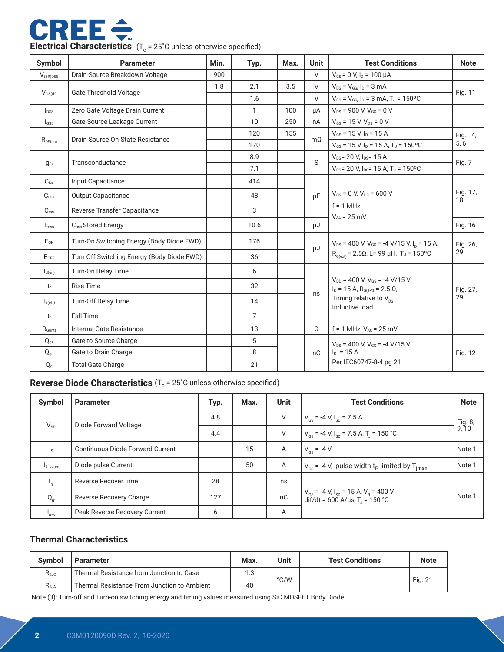

| Symbol                    | <b>Parameter</b>                           | Min. | Typ.           | Max.           | <b>Unit</b>                                                                 | <b>Test Conditions</b>                                                                | <b>Note</b>    |
|---------------------------|--------------------------------------------|------|----------------|----------------|-----------------------------------------------------------------------------|---------------------------------------------------------------------------------------|----------------|
| $V_{(BR)DSS}$             | Drain-Source Breakdown Voltage             | 900  |                |                | $\vee$                                                                      | $V_{GS}$ = 0 V, $I_D$ = 100 $\mu$ A                                                   |                |
|                           |                                            | 1.8  | 2.1            | 3.5            | $\vee$                                                                      | $V_{DS} = V_{GS}$ , $I_D = 3$ mA                                                      |                |
| $V_{GS(th)}$              | <b>Gate Threshold Voltage</b>              |      | 1.6            |                | $\vee$                                                                      | $V_{DS} = V_{GS}$ , $I_D = 3$ mA, $T_J = 150$ °C                                      | Fig. 11        |
| $I_{DSS}$                 | Zero Gate Voltage Drain Current            |      | $\mathbf{1}$   | 100            | μA                                                                          | $V_{DS}$ = 900 V, $V_{GS}$ = 0 V                                                      |                |
| $I_{GSS}$                 | Gate-Source Leakage Current                |      | 10             | 250            | nA                                                                          | $V_{GS}$ = 15 V, $V_{DS}$ = 0 V                                                       |                |
|                           | Drain-Source On-State Resistance           |      | 120            | 155            | $m\Omega$                                                                   | $V_{GS}$ = 15 V, $I_D$ = 15 A                                                         | Fig. 4,        |
| $R_{\rm DS(on)}$          |                                            |      | 170            |                |                                                                             | $V_{GS}$ = 15 V, $I_D$ = 15 A, T <sub>J</sub> = 150°C                                 | 5, 6           |
| $q_{fs}$                  | Transconductance                           |      | 8.9            |                | S                                                                           | $V_{DS}$ = 20 V, $I_{DS}$ = 15 A                                                      | Fig. 7         |
|                           |                                            |      | 7.1            |                |                                                                             | $V_{DS}$ = 20 V, I <sub>DS</sub> = 15 A, T <sub>J</sub> = 150 °C                      |                |
| $C_{iss}$                 | Input Capacitance                          |      | 414            |                |                                                                             |                                                                                       |                |
| $C_{\text{oss}}$          | <b>Output Capacitance</b>                  |      | 48             |                | pF                                                                          | $V_{GS}$ = 0 V, $V_{DS}$ = 600 V                                                      | Fig. 17,<br>18 |
| $C_{\text{rss}}$          | Reverse Transfer Capacitance               |      | 3              |                |                                                                             | $f = 1$ MHz<br>$V_{AC}$ = 25 mV                                                       |                |
| E <sub>oss</sub>          | C <sub>oss</sub> Stored Energy             |      | 10.6           |                | μJ                                                                          |                                                                                       | Fig. 16        |
| $E_{ON}$                  | Turn-On Switching Energy (Body Diode FWD)  |      | 176            |                | $V_{DS}$ = 400 V, V <sub>GS</sub> = -4 V/15 V, I <sub>D</sub> = 15 A,<br>μJ |                                                                                       | Fig. 26,       |
| $E_{OFF}$                 | Turn Off Switching Energy (Body Diode FWD) |      | 36             |                |                                                                             | $R_{G(ext)} = 2.5\Omega$ , L= 99 µH, T <sub>J</sub> = 150°C                           | 29             |
| $t_{d(on)}$               | Turn-On Delay Time                         |      | 6              |                |                                                                             |                                                                                       |                |
| t,                        | <b>Rise Time</b>                           |      | 32             |                |                                                                             | $V_{DD}$ = 400 V, $V_{GS}$ = -4 V/15 V<br>$I_D = 15$ A, $R_{G(ext)} = 2.5$ $\Omega$ , | Fig. 27,<br>29 |
| $t_{d(off)}$              | Turn-Off Delay Time                        |      | 14             |                | ns                                                                          | Timing relative to $V_{\text{nc}}$<br>Inductive load                                  |                |
| $t_{\rm f}$               | <b>Fall Time</b>                           |      | $\overline{7}$ |                |                                                                             |                                                                                       |                |
| $R_{G(int)}$              | Internal Gate Resistance                   |      | 13             |                | $\Omega$                                                                    | $f = 1$ MHz, $V_{AC} = 25$ mV                                                         |                |
| $Q_{qs}$                  | Gate to Source Charge                      |      | 5              |                |                                                                             | $V_{DS}$ = 400 V, $V_{GS}$ = -4 V/15 V                                                |                |
| $Q_{gd}$                  | 8<br>Gate to Drain Charge                  |      | nC             | $I_{D} = 15 A$ | Fig. 12                                                                     |                                                                                       |                |
| $\mathsf{Q}_{\texttt{g}}$ | <b>Total Gate Charge</b>                   |      | 21             |                |                                                                             | Per IEC60747-8-4 pg 21                                                                |                |

# **Reverse Diode Characteristics** (T<sub>c</sub> = 25°C unless otherwise specified)

| Symbol    | <b>Parameter</b>                 | Typ. | Max. | <b>Unit</b> | <b>Test Conditions</b>                                                                                        | <b>Note</b>      |
|-----------|----------------------------------|------|------|-------------|---------------------------------------------------------------------------------------------------------------|------------------|
| $V_{SD}$  |                                  | 4.8  |      | V           | $V_{\text{cs}}$ = -4 V, $I_{\text{sn}}$ = 7.5 A                                                               | Fig. 8,<br>9, 10 |
|           | Diode Forward Voltage            | 4.4  |      | V           | $V_{\text{gs}}$ = -4 V, I <sub>sp</sub> = 7.5 A, T <sub>j</sub> = 150 °C                                      |                  |
| Is.       | Continuous Diode Forward Current |      | 15   | A           | $V_{\text{eq}} = -4 V$                                                                                        | Note 1           |
| Is, pulse | Diode pulse Current              |      | 50   | A           | $V_{\text{cs}}$ = -4 V, pulse width t <sub>p</sub> limited by T <sub>imax</sub>                               | Note 1           |
| $t_{rr}$  | Reverse Recover time             | 28   |      | ns          |                                                                                                               |                  |
| $Q_{rr}$  | Reverse Recovery Charge          | 127  |      | nC          | $V_{cs}$ = -4 V, I <sub>SD</sub> = 15 A, V <sub>R</sub> = 400 V<br>dif/dt = 600 A/µs, T <sub>J</sub> = 150 °C | Note 1           |
| 'rrm      | Peak Reverse Recovery Current    | 6    |      | A           |                                                                                                               |                  |

### **Thermal Characteristics**

| <b>Symbol</b>  | <b>Parameter</b>                            | Max. | Unit | <b>Test Conditions</b> | <b>Note</b> |
|----------------|---------------------------------------------|------|------|------------------------|-------------|
| $R_{0JC}$      | Thermal Resistance from Junction to Case    | 1.3  |      |                        |             |
| $R_{\theta$ JA | Thermal Resistance From Junction to Ambient | 40   | °C/W |                        | Fig. 21     |

Note (3): Turn-off and Turn-on switching energy and timing values measured using SiC MOSFET Body Diode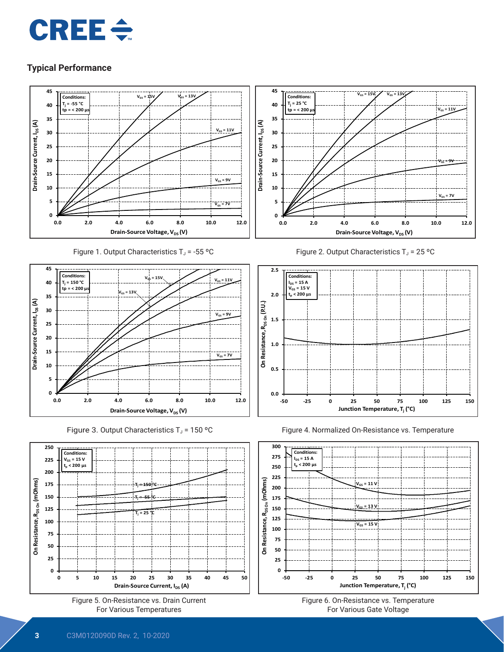



Figure 1. Output Characteristics  $T_J = -55$  °C







Figure 2. Output Characteristics  $T_J = 25 °C$ 







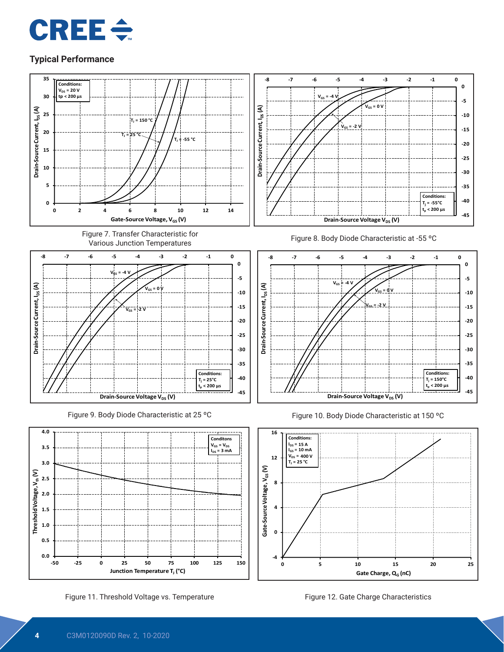



Figure 11. Threshold Voltage vs. Temperature Figure 12. Gate Charge Characteristics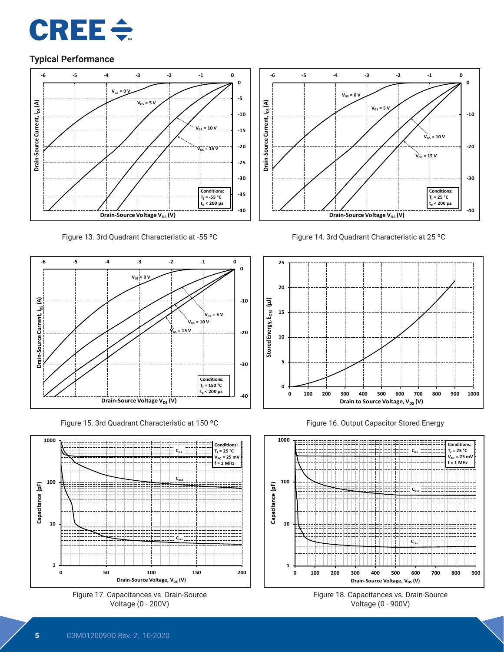



Figure 13. 3rd Quadrant Characteristic at -55 °C Figure 14. 3rd Quadrant Characteristic at 25 °C



Figure 15. 3rd Quadrant Characteristic at 150 ºC









Figure 16. Output Capacitor Stored Energy



Figure 18. Capacitances vs. Drain-Source Voltage (0 - 900V)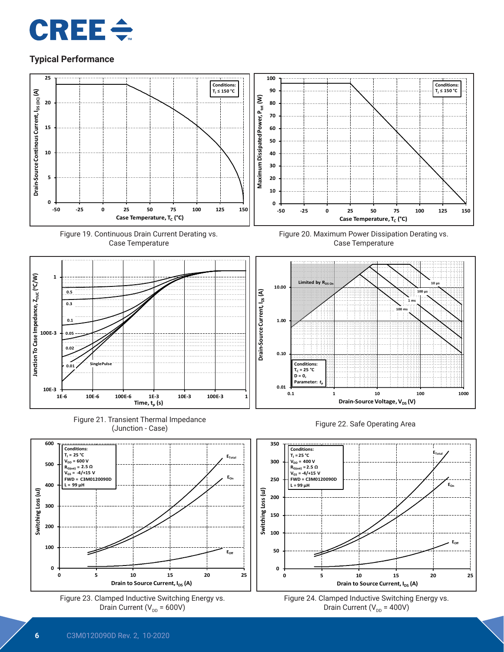



Drain Current (V $_{\text{DD}}$  = 400V)

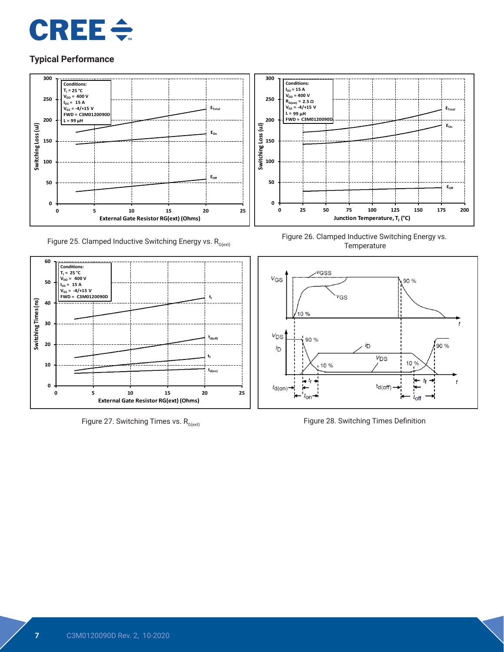



Figure 25. Clamped Inductive Switching Energy vs.  $R_{G(\text{ext})}$ 



Figure 27. Switching Times vs.  $R_{G(ext)}$ 



Figure 26. Clamped Inductive Switching Energy vs. **Temperature** 



Figure 28. Switching Times Definition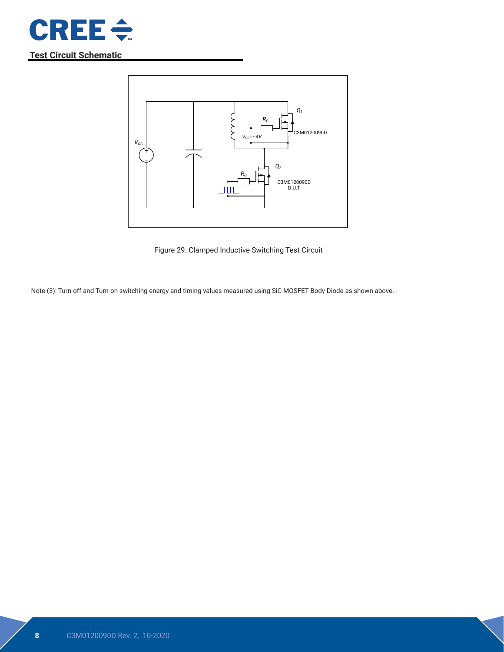

**Test Circuit Schematic**



Figure 29. Clamped Inductive Switching Test Circuit

Note (3): Turn-off and Turn-on switching energy and timing values measured using SiC MOSFET Body Diode as shown above.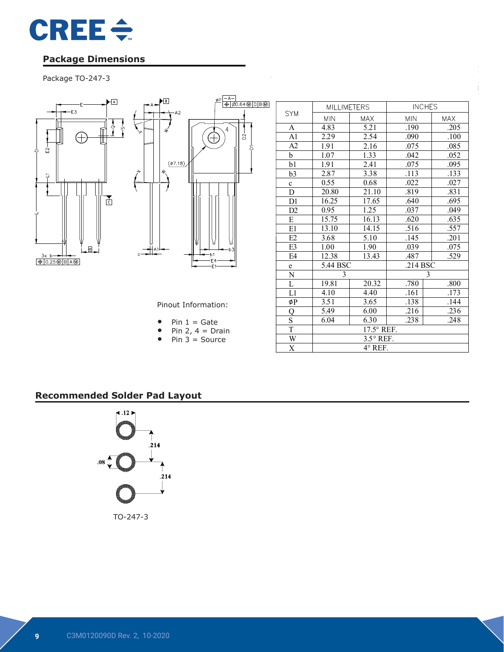

## **Package Dimensions**

# Package TO-247-3



|                | <b>MILLIMETERS</b> |            | <b>INCHES</b> |            |  |  |
|----------------|--------------------|------------|---------------|------------|--|--|
| <b>SYM</b>     | <b>MIN</b>         | <b>MAX</b> | <b>MIN</b>    | <b>MAX</b> |  |  |
| A              | 4.83               | 5.21       | .190          | .205       |  |  |
| A <sub>1</sub> | 2.29               | 2.54       | .090          | .100       |  |  |
| A2             | 1.91               | 2.16       | .075          | .085       |  |  |
| b              | 1.07               | 1.33       | .042          | .052       |  |  |
| b1             | 1.91               | 2.41       | .075          | .095       |  |  |
| b3             | 2.87               | 3.38       | .113          | .133       |  |  |
| $\mathbf c$    | 0.55               | 0.68       | .022          | .027       |  |  |
| D              | 20.80              | 21.10      | .819          | .831       |  |  |
| D1             | 16.25              | 17.65      | .640          | .695       |  |  |
| D <sub>2</sub> | 0.95               | 1.25       | .037          | .049       |  |  |
| E              | 15.75              | 16.13      | .620          | .635       |  |  |
| E1             | 13.10              | 14.15      | .516          | .557       |  |  |
| E2             | 3.68               | 5.10       | .145          | .201       |  |  |
| E3             | 1.00               | 1.90       | .039          | .075       |  |  |
| E4             | 12.38              | 13.43      | .487          | .529       |  |  |
| e              | 5.44 BSC           |            | .214 BSC      |            |  |  |
| ${\bf N}$      | 3                  |            | 3             |            |  |  |
| L              | 19.81              | 20.32      | .780          | .800       |  |  |
| L1             | 4.10               | 4.40       | .161          | .173       |  |  |
| øΡ             | 3.51               | 3.65       | .138          | .144       |  |  |
| Q              | 5.49               | 6.00       | .216          | .236       |  |  |
| S              | 6.04               | 6.30       | .238          | .248       |  |  |
| T              | 17.5° REF.         |            |               |            |  |  |
| W              | $3.5^{\circ}$ REF. |            |               |            |  |  |
| X              | 4° REF.            |            |               |            |  |  |

COMPANY ASE Weihai

Pinout Information:

DWG NO. 98WHP03165A

|  |  |  |  | $Pin 1 = Gate$ |
|--|--|--|--|----------------|
|--|--|--|--|----------------|

- Pin 2,  $4 = \text{Drain}$
- Pin  $3 =$  Source

TITLE:

## **Recommended Solder Pad Layout**